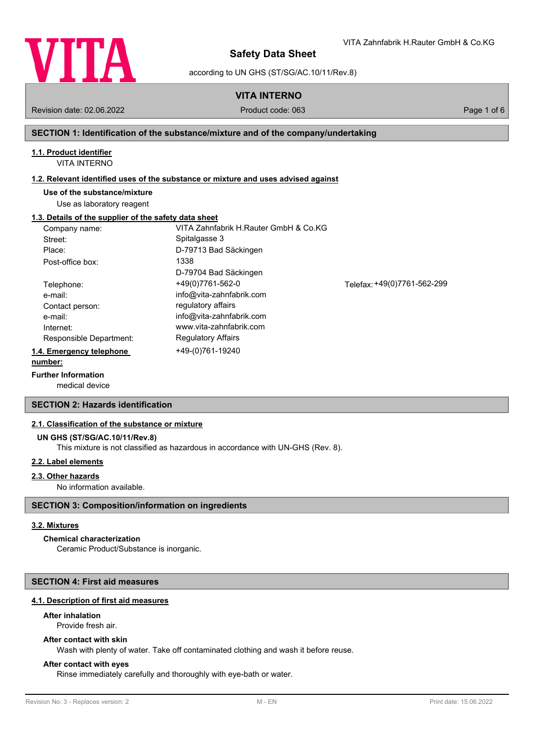

according to UN GHS (ST/SG/AC.10/11/Rev.8)

**VITA INTERNO**

Revision date: 02.06.2022 Product code: 063 Page 1 of 6

VITA Zahnfabrik H.Rauter GmbH & Co.KG

#### **SECTION 1: Identification of the substance/mixture and of the company/undertaking**

### **1.1. Product identifier**

VITA INTERNO

#### **1.2. Relevant identified uses of the substance or mixture and uses advised against**

#### **Use of the substance/mixture**

Use as laboratory reagent

#### **1.3. Details of the supplier of the safety data sheet**

| Company name:            | VITA Zahnfabrik H.Rauter GmbH & Co.KG |                             |
|--------------------------|---------------------------------------|-----------------------------|
| Street:                  | Spitalgasse 3                         |                             |
| Place:                   | D-79713 Bad Säckingen                 |                             |
| Post-office box:         | 1338                                  |                             |
|                          | D-79704 Bad Säckingen                 |                             |
| Telephone:               | +49(0)7761-562-0                      | Telefax: +49(0)7761-562-299 |
| e-mail:                  | info@vita-zahnfabrik.com              |                             |
| Contact person:          | regulatory affairs                    |                             |
| e-mail:                  | info@vita-zahnfabrik.com              |                             |
| Internet:                | www.vita-zahnfabrik.com               |                             |
| Responsible Department:  | <b>Regulatory Affairs</b>             |                             |
| 1.4. Emergency telephone | +49-(0)761-19240                      |                             |
| number:                  |                                       |                             |

#### **Further Information**

medical device

### **SECTION 2: Hazards identification**

#### **2.1. Classification of the substance or mixture**

#### **UN GHS (ST/SG/AC.10/11/Rev.8)**

This mixture is not classified as hazardous in accordance with UN-GHS (Rev. 8).

### **2.2. Label elements**

#### **2.3. Other hazards**

No information available.

### **SECTION 3: Composition/information on ingredients**

#### **3.2. Mixtures**

### **Chemical characterization**

Ceramic Product/Substance is inorganic.

### **SECTION 4: First aid measures**

### **4.1. Description of first aid measures**

### **After inhalation**

Provide fresh air.

# **After contact with skin**

Wash with plenty of water. Take off contaminated clothing and wash it before reuse.

### **After contact with eyes**

Rinse immediately carefully and thoroughly with eye-bath or water.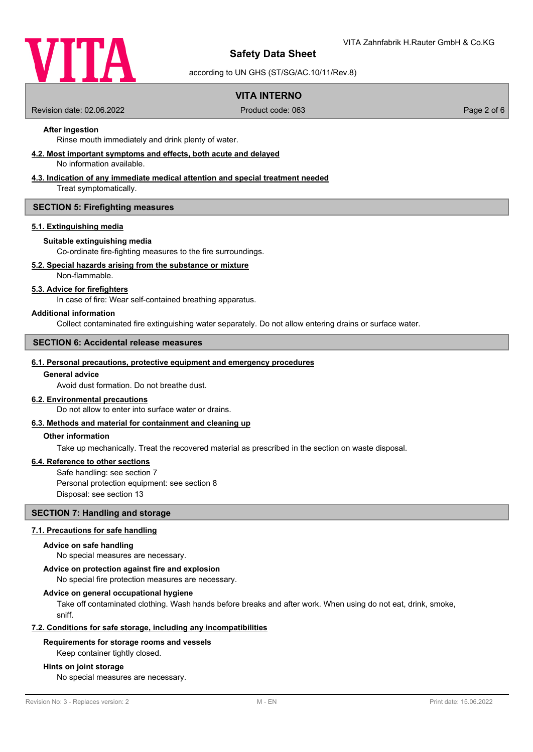

according to UN GHS (ST/SG/AC.10/11/Rev.8)

### **VITA INTERNO**

Revision date: 02.06.2022 Product code: 063 Page 2 of 6

### **After ingestion**

Rinse mouth immediately and drink plenty of water.

#### **4.2. Most important symptoms and effects, both acute and delayed**

No information available.

### **4.3. Indication of any immediate medical attention and special treatment needed**

Treat symptomatically.

#### **SECTION 5: Firefighting measures**

#### **5.1. Extinguishing media**

#### **Suitable extinguishing media**

Co-ordinate fire-fighting measures to the fire surroundings.

### **5.2. Special hazards arising from the substance or mixture**

Non-flammable.

### **5.3. Advice for firefighters**

In case of fire: Wear self-contained breathing apparatus.

#### **Additional information**

Collect contaminated fire extinguishing water separately. Do not allow entering drains or surface water.

### **SECTION 6: Accidental release measures**

#### **6.1. Personal precautions, protective equipment and emergency procedures**

#### **General advice**

Avoid dust formation. Do not breathe dust.

### **6.2. Environmental precautions**

Do not allow to enter into surface water or drains.

#### **6.3. Methods and material for containment and cleaning up**

### **Other information**

Take up mechanically. Treat the recovered material as prescribed in the section on waste disposal.

#### **6.4. Reference to other sections**

Safe handling: see section 7 Personal protection equipment: see section 8 Disposal: see section 13

### **SECTION 7: Handling and storage**

### **7.1. Precautions for safe handling**

#### **Advice on safe handling**

No special measures are necessary.

#### **Advice on protection against fire and explosion**

No special fire protection measures are necessary.

#### **Advice on general occupational hygiene**

Take off contaminated clothing. Wash hands before breaks and after work. When using do not eat, drink, smoke, sniff.

### **7.2. Conditions for safe storage, including any incompatibilities**

#### **Requirements for storage rooms and vessels**

Keep container tightly closed.

#### **Hints on joint storage**

No special measures are necessary.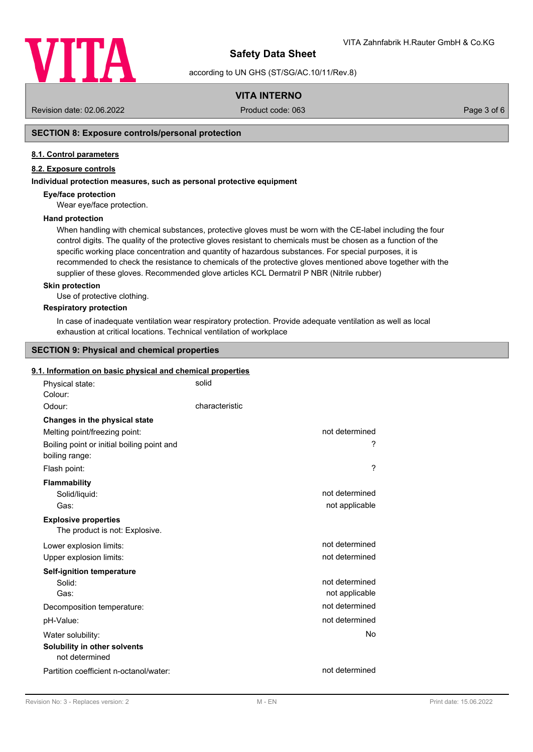

according to UN GHS (ST/SG/AC.10/11/Rev.8)

### **VITA INTERNO**

Revision date: 02.06.2022 Product code: 063 Page 3 of 6

### **SECTION 8: Exposure controls/personal protection**

#### **8.1. Control parameters**

### **8.2. Exposure controls**

#### **Individual protection measures, such as personal protective equipment**

#### **Eye/face protection**

Wear eye/face protection.

#### **Hand protection**

When handling with chemical substances, protective gloves must be worn with the CE-label including the four control digits. The quality of the protective gloves resistant to chemicals must be chosen as a function of the specific working place concentration and quantity of hazardous substances. For special purposes, it is recommended to check the resistance to chemicals of the protective gloves mentioned above together with the supplier of these gloves. Recommended glove articles KCL Dermatril P NBR (Nitrile rubber)

#### **Skin protection**

Use of protective clothing.

#### **Respiratory protection**

In case of inadequate ventilation wear respiratory protection. Provide adequate ventilation as well as local exhaustion at critical locations. Technical ventilation of workplace

### **SECTION 9: Physical and chemical properties**

#### **9.1. Information on basic physical and chemical properties**

| Physical state:<br>Colour:                                    | solid          |                |
|---------------------------------------------------------------|----------------|----------------|
| Odour:                                                        | characteristic |                |
| Changes in the physical state                                 |                |                |
| Melting point/freezing point:                                 |                | not determined |
| Boiling point or initial boiling point and<br>boiling range:  |                | ?              |
| Flash point:                                                  |                | ?              |
| Flammability                                                  |                |                |
| Solid/liquid:                                                 |                | not determined |
| Gas:                                                          |                | not applicable |
| <b>Explosive properties</b><br>The product is not: Explosive. |                |                |
| Lower explosion limits:                                       |                | not determined |
| Upper explosion limits:                                       |                | not determined |
| <b>Self-ignition temperature</b>                              |                |                |
| Solid:                                                        |                | not determined |
| Gas:                                                          |                | not applicable |
| Decomposition temperature:                                    |                | not determined |
| pH-Value:                                                     |                | not determined |
| Water solubility:                                             |                | No             |
| Solubility in other solvents<br>not determined                |                |                |
| Partition coefficient n-octanol/water:                        |                | not determined |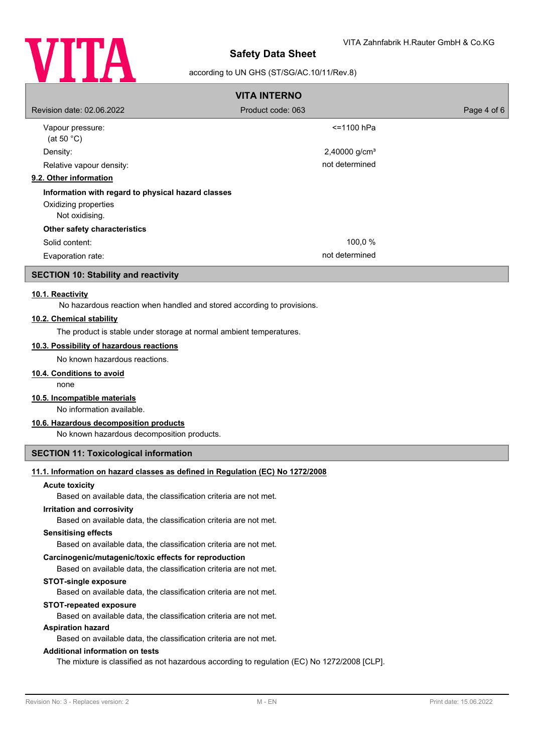

### according to UN GHS (ST/SG/AC.10/11/Rev.8)

| <b>VITA INTERNO</b>                                                                          |                           |             |
|----------------------------------------------------------------------------------------------|---------------------------|-------------|
| Revision date: 02.06.2022                                                                    | Product code: 063         | Page 4 of 6 |
| Vapour pressure:<br>(at 50 $^{\circ}$ C)                                                     | $<$ =1100 hPa             |             |
| Density:                                                                                     | 2,40000 g/cm <sup>3</sup> |             |
| Relative vapour density:                                                                     | not determined            |             |
| 9.2. Other information                                                                       |                           |             |
| Information with regard to physical hazard classes<br>Oxidizing properties<br>Not oxidising. |                           |             |
| Other safety characteristics                                                                 |                           |             |
| Solid content:                                                                               | 100,0 %                   |             |
| Evaporation rate:                                                                            | not determined            |             |

### **SECTION 10: Stability and reactivity**

#### **10.1. Reactivity**

No hazardous reaction when handled and stored according to provisions.

#### **10.2. Chemical stability**

The product is stable under storage at normal ambient temperatures.

#### **10.3. Possibility of hazardous reactions**

No known hazardous reactions.

## **10.4. Conditions to avoid**

none

### **10.5. Incompatible materials**

No information available.

### **10.6. Hazardous decomposition products**

No known hazardous decomposition products.

### **SECTION 11: Toxicological information**

### **11.1. Information on hazard classes as defined in Regulation (EC) No 1272/2008**

#### **Acute toxicity**

Based on available data, the classification criteria are not met.

#### **Irritation and corrosivity**

Based on available data, the classification criteria are not met.

#### **Sensitising effects**

Based on available data, the classification criteria are not met.

### **Carcinogenic/mutagenic/toxic effects for reproduction**

Based on available data, the classification criteria are not met.

#### **STOT-single exposure**

Based on available data, the classification criteria are not met.

#### **STOT-repeated exposure**

Based on available data, the classification criteria are not met.

#### **Aspiration hazard**

Based on available data, the classification criteria are not met.

#### **Additional information on tests**

The mixture is classified as not hazardous according to regulation (EC) No 1272/2008 [CLP].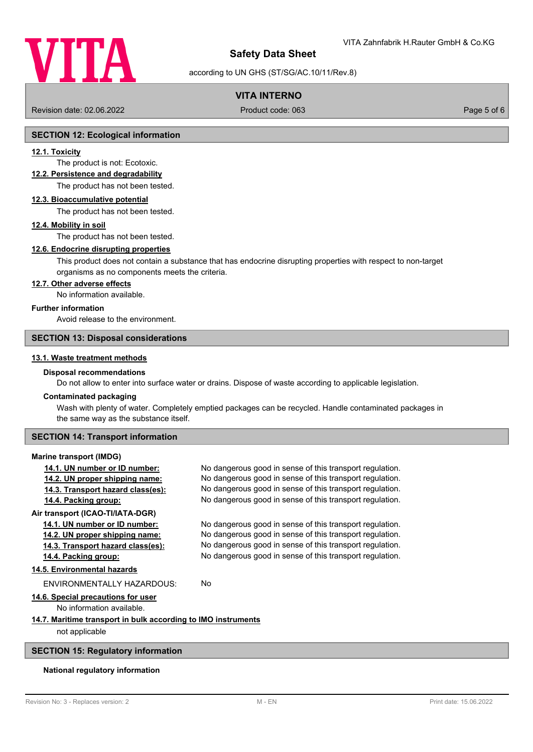

### according to UN GHS (ST/SG/AC.10/11/Rev.8)

### **VITA INTERNO**

Revision date: 02.06.2022 Product code: 063 Page 5 of 6

#### **SECTION 12: Ecological information**

#### **12.1. Toxicity**

The product is not: Ecotoxic.

#### **12.2. Persistence and degradability**

The product has not been tested.

#### **12.3. Bioaccumulative potential**

The product has not been tested.

#### **12.4. Mobility in soil**

The product has not been tested.

### **12.6. Endocrine disrupting properties**

This product does not contain a substance that has endocrine disrupting properties with respect to non-target organisms as no components meets the criteria.

### **12.7. Other adverse effects**

No information available.

#### **Further information**

### Avoid release to the environment.

#### **SECTION 13: Disposal considerations**

#### **13.1. Waste treatment methods**

# **Disposal recommendations**

Do not allow to enter into surface water or drains. Dispose of waste according to applicable legislation.

#### **Contaminated packaging**

Wash with plenty of water. Completely emptied packages can be recycled. Handle contaminated packages in the same way as the substance itself.

### **SECTION 14: Transport information**

#### **Marine transport (IMDG)**

| 14.1. UN number or ID number:                                 | No dangerous good in sense of this transport regulation. |  |  |
|---------------------------------------------------------------|----------------------------------------------------------|--|--|
| 14.2. UN proper shipping name:                                | No dangerous good in sense of this transport regulation. |  |  |
| 14.3. Transport hazard class(es):                             | No dangerous good in sense of this transport regulation. |  |  |
| 14.4. Packing group:                                          | No dangerous good in sense of this transport regulation. |  |  |
| Air transport (ICAO-TI/IATA-DGR)                              |                                                          |  |  |
| 14.1. UN number or ID number:                                 | No dangerous good in sense of this transport regulation. |  |  |
| 14.2. UN proper shipping name:                                | No dangerous good in sense of this transport regulation. |  |  |
| 14.3. Transport hazard class(es):                             | No dangerous good in sense of this transport regulation. |  |  |
| 14.4. Packing group:                                          | No dangerous good in sense of this transport regulation. |  |  |
| 14.5. Environmental hazards                                   |                                                          |  |  |
| FNVIRONMENTALLY HAZARDOUS:                                    | No.                                                      |  |  |
| 14.6. Special precautions for user                            |                                                          |  |  |
| No information available.                                     |                                                          |  |  |
| 14.7. Maritime transport in bulk according to IMO instruments |                                                          |  |  |
| not applicable                                                |                                                          |  |  |

### **SECTION 15: Regulatory information**

#### **National regulatory information**